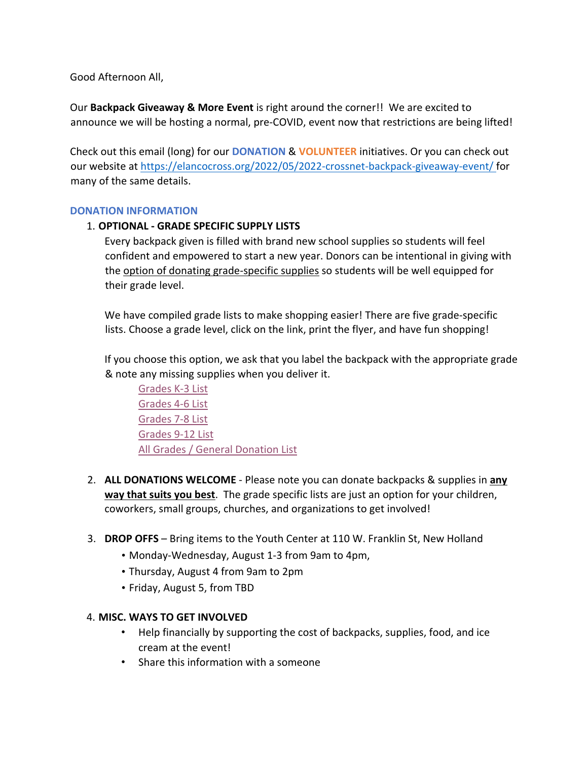Good Afternoon All,

Our **Backpack Giveaway & More Event** is right around the corner!! We are excited to announce we will be hosting a normal, pre-COVID, event now that restrictions are being lifted!

Check out this email (long) for our **DONATION** & **VOLUNTEER** initiatives. Or you can check out our website at https://elancocross.org/2022/05/2022-crossnet-backpack-giveaway-event/ for many of the same details.

#### **DONATION INFORMATION**

## 1. **OPTIONAL - GRADE SPECIFIC SUPPLY LISTS**

Every backpack given is filled with brand new school supplies so students will feel confident and empowered to start a new year. Donors can be intentional in giving with the option of donating grade-specific supplies so students will be well equipped for their grade level.

We have compiled grade lists to make shopping easier! There are five grade-specific lists. Choose a grade level, click on the link, print the flyer, and have fun shopping!

If you choose this option, we ask that you label the backpack with the appropriate grade & note any missing supplies when you deliver it.

Grades K-3 List Grades 4-6 List Grades 7-8 List Grades 9-12 List All Grades / General Donation List

- 2. **ALL DONATIONS WELCOME** Please note you can donate backpacks & supplies in **any way that suits you best**. The grade specific lists are just an option for your children, coworkers, small groups, churches, and organizations to get involved!
- 3. **DROP OFFS**  Bring items to the Youth Center at 110 W. Franklin St, New Holland
	- Monday-Wednesday, August 1-3 from 9am to 4pm,
	- Thursday, August 4 from 9am to 2pm
	- Friday, August 5, from TBD

# 4. **MISC. WAYS TO GET INVOLVED**

- Help financially by supporting the cost of backpacks, supplies, food, and ice cream at the event!
- Share this information with a someone